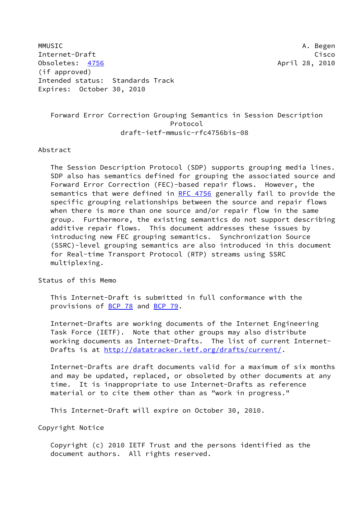MMUSIC A. Begen Internet-Draft Cisco Obsoletes: [4756](https://datatracker.ietf.org/doc/pdf/rfc4756) April 28, 2010 (if approved) Intended status: Standards Track Expires: October 30, 2010

# Forward Error Correction Grouping Semantics in Session Description Protocol draft-ietf-mmusic-rfc4756bis-08

#### Abstract

 The Session Description Protocol (SDP) supports grouping media lines. SDP also has semantics defined for grouping the associated source and Forward Error Correction (FEC)-based repair flows. However, the semantics that were defined in [RFC 4756](https://datatracker.ietf.org/doc/pdf/rfc4756) generally fail to provide the specific grouping relationships between the source and repair flows when there is more than one source and/or repair flow in the same group. Furthermore, the existing semantics do not support describing additive repair flows. This document addresses these issues by introducing new FEC grouping semantics. Synchronization Source (SSRC)-level grouping semantics are also introduced in this document for Real-time Transport Protocol (RTP) streams using SSRC multiplexing.

Status of this Memo

 This Internet-Draft is submitted in full conformance with the provisions of [BCP 78](https://datatracker.ietf.org/doc/pdf/bcp78) and [BCP 79](https://datatracker.ietf.org/doc/pdf/bcp79).

 Internet-Drafts are working documents of the Internet Engineering Task Force (IETF). Note that other groups may also distribute working documents as Internet-Drafts. The list of current Internet- Drafts is at<http://datatracker.ietf.org/drafts/current/>.

 Internet-Drafts are draft documents valid for a maximum of six months and may be updated, replaced, or obsoleted by other documents at any time. It is inappropriate to use Internet-Drafts as reference material or to cite them other than as "work in progress."

This Internet-Draft will expire on October 30, 2010.

Copyright Notice

 Copyright (c) 2010 IETF Trust and the persons identified as the document authors. All rights reserved.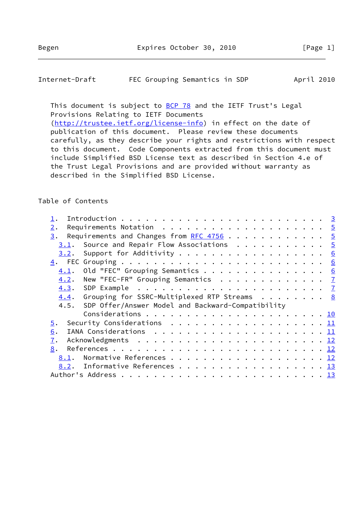# Internet-Draft FEC Grouping Semantics in SDP April 2010

This document is subject to **[BCP 78](https://datatracker.ietf.org/doc/pdf/bcp78)** and the IETF Trust's Legal Provisions Relating to IETF Documents [\(http://trustee.ietf.org/license-info](http://trustee.ietf.org/license-info)) in effect on the date of

 publication of this document. Please review these documents carefully, as they describe your rights and restrictions with respect to this document. Code Components extracted from this document must include Simplified BSD License text as described in Section 4.e of the Trust Legal Provisions and are provided without warranty as described in the Simplified BSD License.

# Table of Contents

| Requirements Notation $\ldots \ldots \ldots \ldots \ldots \ldots \ldots$<br>2.                  |  |
|-------------------------------------------------------------------------------------------------|--|
| Requirements and Changes from <u>RFC 4756</u> 5<br>3.                                           |  |
| Source and Repair Flow Associations $\cdots$ 5<br>3.1.                                          |  |
| Support for Additivity 6<br>3.2.                                                                |  |
|                                                                                                 |  |
| Old "FEC" Grouping Semantics 6<br>4.1.                                                          |  |
| New "FEC-FR" Grouping Semantics $\frac{7}{2}$<br>4.2.                                           |  |
| SDP Example $\ldots \ldots \ldots \ldots \ldots \ldots \ldots \ldots$<br>4.3.                   |  |
| Grouping for SSRC-Multiplexed RTP Streams 8<br>4.4.                                             |  |
| SDP Offer/Answer Model and Backward-Compatibility<br>4.5.                                       |  |
|                                                                                                 |  |
| Security Considerations $\ldots \ldots \ldots \ldots \ldots \ldots \ldots \underline{11}$<br>5. |  |
| IANA Considerations $\ldots \ldots \ldots \ldots \ldots \ldots \ldots \underline{11}$<br>6.     |  |
| 7.                                                                                              |  |
| 8.                                                                                              |  |
| 8.1.                                                                                            |  |
| Informative References 13<br>8.2.                                                               |  |
|                                                                                                 |  |
|                                                                                                 |  |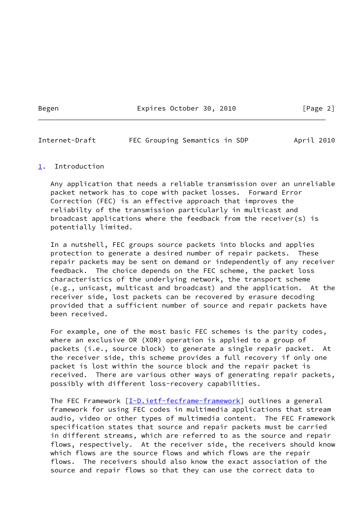Begen Expires October 30, 2010 [Page 2]

<span id="page-2-1"></span>Internet-Draft FEC Grouping Semantics in SDP April 2010

#### <span id="page-2-0"></span>[1](#page-2-0). Introduction

 Any application that needs a reliable transmission over an unreliable packet network has to cope with packet losses. Forward Error Correction (FEC) is an effective approach that improves the reliabilty of the transmission particularly in multicast and broadcast applications where the feedback from the receiver(s) is potentially limited.

 In a nutshell, FEC groups source packets into blocks and applies protection to generate a desired number of repair packets. These repair packets may be sent on demand or independently of any receiver feedback. The choice depends on the FEC scheme, the packet loss characteristics of the underlying network, the transport scheme (e.g., unicast, multicast and broadcast) and the application. At the receiver side, lost packets can be recovered by erasure decoding provided that a sufficient number of source and repair packets have been received.

 For example, one of the most basic FEC schemes is the parity codes, where an exclusive OR (XOR) operation is applied to a group of packets (i.e., source block) to generate a single repair packet. At the receiver side, this scheme provides a full recovery if only one packet is lost within the source block and the repair packet is received. There are various other ways of generating repair packets, possibly with different loss-recovery capabilities.

The FEC Framework [[I-D.ietf-fecframe-framework](#page-13-2)] outlines a general framework for using FEC codes in multimedia applications that stream audio, video or other types of multimedia content. The FEC Framework specification states that source and repair packets must be carried in different streams, which are referred to as the source and repair flows, respectively. At the receiver side, the receivers should know which flows are the source flows and which flows are the repair flows. The receivers should also know the exact association of the source and repair flows so that they can use the correct data to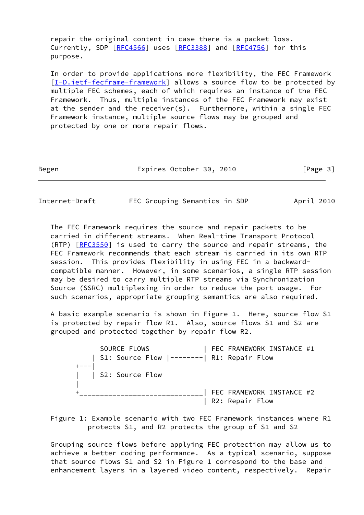repair the original content in case there is a packet loss. Currently, SDP [\[RFC4566](https://datatracker.ietf.org/doc/pdf/rfc4566)] uses [[RFC3388](https://datatracker.ietf.org/doc/pdf/rfc3388)] and [\[RFC4756](https://datatracker.ietf.org/doc/pdf/rfc4756)] for this purpose.

 In order to provide applications more flexibility, the FEC Framework [\[I-D.ietf-fecframe-framework](#page-13-2)] allows a source flow to be protected by multiple FEC schemes, each of which requires an instance of the FEC Framework. Thus, multiple instances of the FEC Framework may exist at the sender and the receiver(s). Furthermore, within a single FEC Framework instance, multiple source flows may be grouped and protected by one or more repair flows.

| Begen | Expires October 30, 2010 | [Page 3] |
|-------|--------------------------|----------|
|-------|--------------------------|----------|

Internet-Draft FEC Grouping Semantics in SDP April 2010

 The FEC Framework requires the source and repair packets to be carried in different streams. When Real-time Transport Protocol (RTP) [[RFC3550](https://datatracker.ietf.org/doc/pdf/rfc3550)] is used to carry the source and repair streams, the FEC Framework recommends that each stream is carried in its own RTP session. This provides flexibility in using FEC in a backward compatible manner. However, in some scenarios, a single RTP session may be desired to carry multiple RTP streams via Synchronization Source (SSRC) multiplexing in order to reduce the port usage. For such scenarios, appropriate grouping semantics are also required.

 A basic example scenario is shown in Figure 1. Here, source flow S1 is protected by repair flow R1. Also, source flows S1 and S2 are grouped and protected together by repair flow R2.

SOURCE FLOWS THE RAMEWORK INSTANCE #1 | S1: Source Flow |--------| R1: Repair Flow  $+---$  | | S2: Source Flow | +\_\_\_\_\_\_\_\_\_\_\_\_\_\_\_\_\_\_\_\_\_\_\_\_\_\_\_\_\_\_| FEC FRAMEWORK INSTANCE #2 | R2: Repair Flow

 Figure 1: Example scenario with two FEC Framework instances where R1 protects S1, and R2 protects the group of S1 and S2

 Grouping source flows before applying FEC protection may allow us to achieve a better coding performance. As a typical scenario, suppose that source flows S1 and S2 in Figure 1 correspond to the base and enhancement layers in a layered video content, respectively. Repair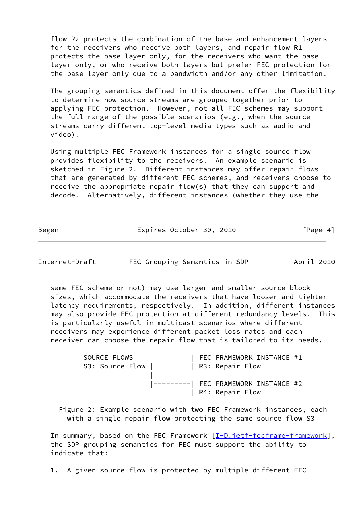flow R2 protects the combination of the base and enhancement layers for the receivers who receive both layers, and repair flow R1 protects the base layer only, for the receivers who want the base layer only, or who receive both layers but prefer FEC protection for the base layer only due to a bandwidth and/or any other limitation.

 The grouping semantics defined in this document offer the flexibility to determine how source streams are grouped together prior to applying FEC protection. However, not all FEC schemes may support the full range of the possible scenarios (e.g., when the source streams carry different top-level media types such as audio and video).

 Using multiple FEC Framework instances for a single source flow provides flexibility to the receivers. An example scenario is sketched in Figure 2. Different instances may offer repair flows that are generated by different FEC schemes, and receivers choose to receive the appropriate repair flow(s) that they can support and decode. Alternatively, different instances (whether they use the

Begen Expires October 30, 2010 [Page 4]

<span id="page-4-0"></span>Internet-Draft FEC Grouping Semantics in SDP April 2010

 same FEC scheme or not) may use larger and smaller source block sizes, which accommodate the receivers that have looser and tighter latency requirements, respectively. In addition, different instances may also provide FEC protection at different redundancy levels. This is particularly useful in multicast scenarios where different receivers may experience different packet loss rates and each receiver can choose the repair flow that is tailored to its needs.

SOURCE FLOWS | FEC FRAMEWORK INSTANCE #1 S3: Source Flow |---------| R3: Repair Flow | |--------| FEC FRAMEWORK INSTANCE #2 | R4: Repair Flow

 Figure 2: Example scenario with two FEC Framework instances, each with a single repair flow protecting the same source flow S3

In summary, based on the FEC Framework [\[I-D.ietf-fecframe-framework](#page-13-2)], the SDP grouping semantics for FEC must support the ability to indicate that:

1. A given source flow is protected by multiple different FEC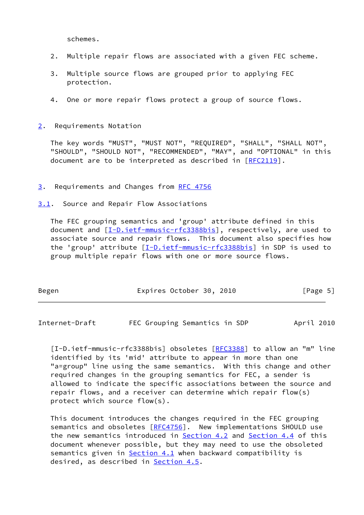schemes.

- 2. Multiple repair flows are associated with a given FEC scheme.
- 3. Multiple source flows are grouped prior to applying FEC protection.
- 4. One or more repair flows protect a group of source flows.

<span id="page-5-0"></span>[2](#page-5-0). Requirements Notation

 The key words "MUST", "MUST NOT", "REQUIRED", "SHALL", "SHALL NOT", "SHOULD", "SHOULD NOT", "RECOMMENDED", "MAY", and "OPTIONAL" in this document are to be interpreted as described in [\[RFC2119](https://datatracker.ietf.org/doc/pdf/rfc2119)].

<span id="page-5-1"></span>[3](#page-5-1). Requirements and Changes from [RFC 4756](https://datatracker.ietf.org/doc/pdf/rfc4756)

<span id="page-5-2"></span>[3.1](#page-5-2). Source and Repair Flow Associations

 The FEC grouping semantics and 'group' attribute defined in this document and  $[I-D.iett-mmusic-rfc3388bis]$ , respectively, are used to associate source and repair flows. This document also specifies how the 'group' attribute [[I-D.ietf-mmusic-rfc3388bis\]](#page-5-4) in SDP is used to group multiple repair flows with one or more source flows.

| Begen |  | Expires October 30, 2010 |  |  | [Page 5] |
|-------|--|--------------------------|--|--|----------|
|-------|--|--------------------------|--|--|----------|

<span id="page-5-3"></span>Internet-Draft FEC Grouping Semantics in SDP April 2010

<span id="page-5-4"></span>[I-D.ietf-mmusic-rfc3388bis] obsoletes [\[RFC3388](https://datatracker.ietf.org/doc/pdf/rfc3388)] to allow an "m" line identified by its 'mid' attribute to appear in more than one "a=group" line using the same semantics. With this change and other required changes in the grouping semantics for FEC, a sender is allowed to indicate the specific associations between the source and repair flows, and a receiver can determine which repair flow(s) protect which source flow(s).

 This document introduces the changes required in the FEC grouping semantics and obsoletes [\[RFC4756](https://datatracker.ietf.org/doc/pdf/rfc4756)]. New implementations SHOULD use the new semantics introduced in [Section 4.2](#page-7-0) and [Section 4.4](#page-8-0) of this document whenever possible, but they may need to use the obsoleted semantics given in [Section 4.1](#page-6-2) when backward compatibility is desired, as described in [Section 4.5](#page-10-1).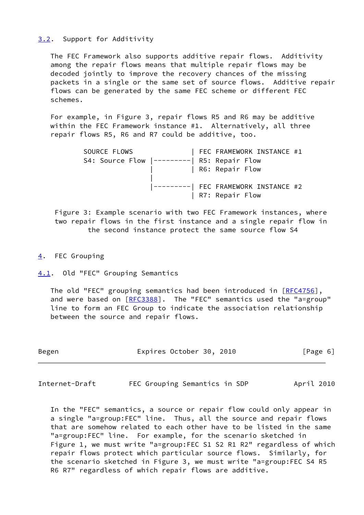### <span id="page-6-0"></span>[3.2](#page-6-0). Support for Additivity

 The FEC Framework also supports additive repair flows. Additivity among the repair flows means that multiple repair flows may be decoded jointly to improve the recovery chances of the missing packets in a single or the same set of source flows. Additive repair flows can be generated by the same FEC scheme or different FEC schemes.

 For example, in Figure 3, repair flows R5 and R6 may be additive within the FEC Framework instance #1. Alternatively, all three repair flows R5, R6 and R7 could be additive, too.

| SOURCE FLOWS             |  | FEC FRAMEWORK INSTANCE #1            |  |
|--------------------------|--|--------------------------------------|--|
| S4: Source Flow $ -----$ |  | R5: Repair Flow                      |  |
|                          |  | R6: Repair Flow                      |  |
|                          |  |                                      |  |
|                          |  | ---------  FEC FRAMEWORK INSTANCE #2 |  |
|                          |  | R7: Repair Flow                      |  |

 Figure 3: Example scenario with two FEC Framework instances, where two repair flows in the first instance and a single repair flow in the second instance protect the same source flow S4

<span id="page-6-1"></span>[4](#page-6-1). FEC Grouping

<span id="page-6-2"></span>[4.1](#page-6-2). Old "FEC" Grouping Semantics

The old "FEC" grouping semantics had been introduced in [\[RFC4756](https://datatracker.ietf.org/doc/pdf/rfc4756)], and were based on [[RFC3388](https://datatracker.ietf.org/doc/pdf/rfc3388)]. The "FEC" semantics used the "a=group" line to form an FEC Group to indicate the association relationship between the source and repair flows.

| Begen | Expires October 30, 2010 |  |  |  | [Page 6] |  |
|-------|--------------------------|--|--|--|----------|--|
|-------|--------------------------|--|--|--|----------|--|

<span id="page-6-3"></span>Internet-Draft FEC Grouping Semantics in SDP April 2010

 In the "FEC" semantics, a source or repair flow could only appear in a single "a=group:FEC" line. Thus, all the source and repair flows that are somehow related to each other have to be listed in the same "a=group:FEC" line. For example, for the scenario sketched in Figure 1, we must write "a=group:FEC S1 S2 R1 R2" regardless of which repair flows protect which particular source flows. Similarly, for the scenario sketched in Figure 3, we must write "a=group:FEC S4 R5 R6 R7" regardless of which repair flows are additive.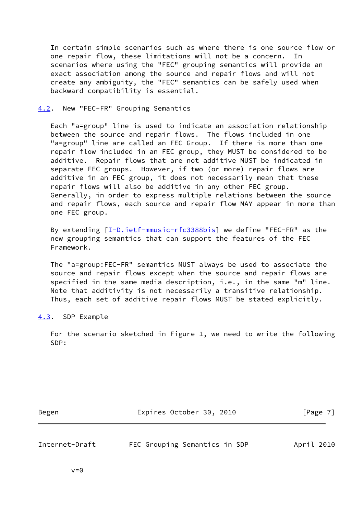In certain simple scenarios such as where there is one source flow or one repair flow, these limitations will not be a concern. In scenarios where using the "FEC" grouping semantics will provide an exact association among the source and repair flows and will not create any ambiguity, the "FEC" semantics can be safely used when backward compatibility is essential.

#### <span id="page-7-0"></span>[4.2](#page-7-0). New "FEC-FR" Grouping Semantics

 Each "a=group" line is used to indicate an association relationship between the source and repair flows. The flows included in one "a=group" line are called an FEC Group. If there is more than one repair flow included in an FEC group, they MUST be considered to be additive. Repair flows that are not additive MUST be indicated in separate FEC groups. However, if two (or more) repair flows are additive in an FEC group, it does not necessarily mean that these repair flows will also be additive in any other FEC group. Generally, in order to express multiple relations between the source and repair flows, each source and repair flow MAY appear in more than one FEC group.

By extending  $[I-D.iett-mmusic-rfc3388bis]$  we define "FEC-FR" as the new grouping semantics that can support the features of the FEC Framework.

 The "a=group:FEC-FR" semantics MUST always be used to associate the source and repair flows except when the source and repair flows are specified in the same media description, i.e., in the same "m" line. Note that additivity is not necessarily a transitive relationship. Thus, each set of additive repair flows MUST be stated explicitly.

<span id="page-7-1"></span>[4.3](#page-7-1). SDP Example

 For the scenario sketched in Figure 1, we need to write the following SDP:

Begen Expires October 30, 2010 [Page 7]

<span id="page-7-2"></span>Internet-Draft FEC Grouping Semantics in SDP April 2010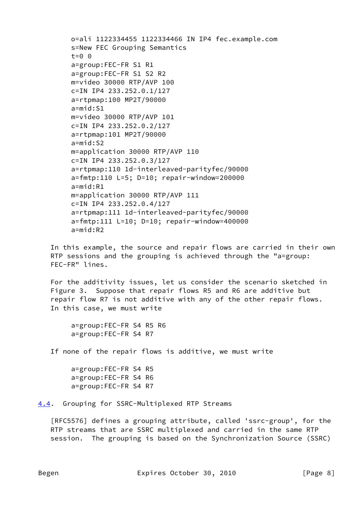```
 o=ali 1122334455 1122334466 IN IP4 fec.example.com
s=New FEC Grouping Semantics
t=0 0
a=group:FEC-FR S1 R1
a=group:FEC-FR S1 S2 R2
m=video 30000 RTP/AVP 100
c=IN IP4 233.252.0.1/127
a=rtpmap:100 MP2T/90000
a=mid:S1
m=video 30000 RTP/AVP 101
c=IN IP4 233.252.0.2/127
a=rtpmap:101 MP2T/90000
a=mid:S2
m=application 30000 RTP/AVP 110
c=IN IP4 233.252.0.3/127
a=rtpmap:110 1d-interleaved-parityfec/90000
a=fmtp:110 L=5; D=10; repair-window=200000
a=mid:R1
m=application 30000 RTP/AVP 111
c=IN IP4 233.252.0.4/127
a=rtpmap:111 1d-interleaved-parityfec/90000
a=fmtp:111 L=10; D=10; repair-window=400000
a=mid:R2
```
 In this example, the source and repair flows are carried in their own RTP sessions and the grouping is achieved through the "a=group: FEC-FR" lines.

 For the additivity issues, let us consider the scenario sketched in Figure 3. Suppose that repair flows R5 and R6 are additive but repair flow R7 is not additive with any of the other repair flows. In this case, we must write

```
 a=group:FEC-FR S4 R5 R6
a=group:FEC-FR S4 R7
```
If none of the repair flows is additive, we must write

```
 a=group:FEC-FR S4 R5
a=group:FEC-FR S4 R6
a=group:FEC-FR S4 R7
```
<span id="page-8-0"></span>[4.4](#page-8-0). Grouping for SSRC-Multiplexed RTP Streams

 [RFC5576] defines a grouping attribute, called 'ssrc-group', for the RTP streams that are SSRC multiplexed and carried in the same RTP session. The grouping is based on the Synchronization Source (SSRC)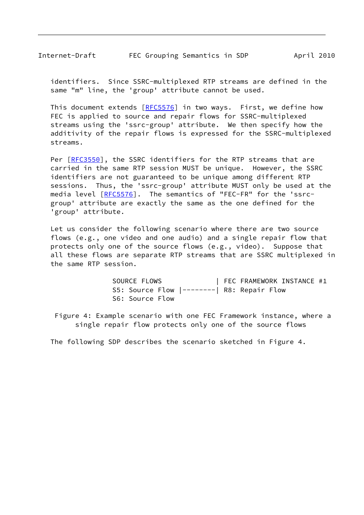identifiers. Since SSRC-multiplexed RTP streams are defined in the same "m" line, the 'group' attribute cannot be used.

This document extends [[RFC5576](https://datatracker.ietf.org/doc/pdf/rfc5576)] in two ways. First, we define how FEC is applied to source and repair flows for SSRC-multiplexed streams using the 'ssrc-group' attribute. We then specify how the additivity of the repair flows is expressed for the SSRC-multiplexed streams.

Per [\[RFC3550](https://datatracker.ietf.org/doc/pdf/rfc3550)], the SSRC identifiers for the RTP streams that are carried in the same RTP session MUST be unique. However, the SSRC identifiers are not guaranteed to be unique among different RTP sessions. Thus, the 'ssrc-group' attribute MUST only be used at the media level [\[RFC5576](https://datatracker.ietf.org/doc/pdf/rfc5576)]. The semantics of "FEC-FR" for the 'ssrc group' attribute are exactly the same as the one defined for the 'group' attribute.

 Let us consider the following scenario where there are two source flows (e.g., one video and one audio) and a single repair flow that protects only one of the source flows (e.g., video). Suppose that all these flows are separate RTP streams that are SSRC multiplexed in the same RTP session.

> SOURCE FLOWS | FEC FRAMEWORK INSTANCE #1 S5: Source Flow |--------| R8: Repair Flow S6: Source Flow

 Figure 4: Example scenario with one FEC Framework instance, where a single repair flow protects only one of the source flows

The following SDP describes the scenario sketched in Figure 4.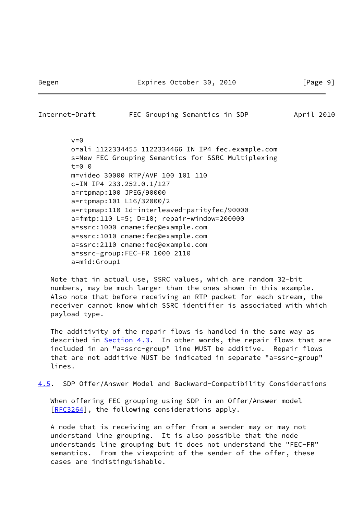<span id="page-10-0"></span>Internet-Draft FEC Grouping Semantics in SDP April 2010  $v=0$  o=ali 1122334455 1122334466 IN IP4 fec.example.com s=New FEC Grouping Semantics for SSRC Multiplexing t=0 0 m=video 30000 RTP/AVP 100 101 110 c=IN IP4 233.252.0.1/127 a=rtpmap:100 JPEG/90000 a=rtpmap:101 L16/32000/2 a=rtpmap:110 1d-interleaved-parityfec/90000 a=fmtp:110 L=5; D=10; repair-window=200000 a=ssrc:1000 cname:fec@example.com a=ssrc:1010 cname:fec@example.com a=ssrc:2110 cname:fec@example.com a=ssrc-group:FEC-FR 1000 2110 a=mid:Group1

 Note that in actual use, SSRC values, which are random 32-bit numbers, may be much larger than the ones shown in this example. Also note that before receiving an RTP packet for each stream, the receiver cannot know which SSRC identifier is associated with which payload type.

 The additivity of the repair flows is handled in the same way as described in [Section 4.3](#page-7-1). In other words, the repair flows that are included in an "a=ssrc-group" line MUST be additive. Repair flows that are not additive MUST be indicated in separate "a=ssrc-group" lines.

<span id="page-10-1"></span>[4.5](#page-10-1). SDP Offer/Answer Model and Backward-Compatibility Considerations

 When offering FEC grouping using SDP in an Offer/Answer model [\[RFC3264](https://datatracker.ietf.org/doc/pdf/rfc3264)], the following considerations apply.

 A node that is receiving an offer from a sender may or may not understand line grouping. It is also possible that the node understands line grouping but it does not understand the "FEC-FR" semantics. From the viewpoint of the sender of the offer, these cases are indistinguishable.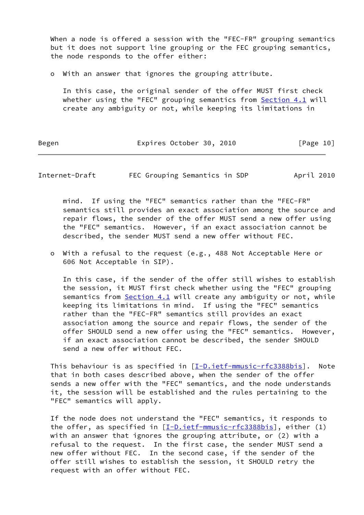When a node is offered a session with the "FEC-FR" grouping semantics but it does not support line grouping or the FEC grouping semantics, the node responds to the offer either:

o With an answer that ignores the grouping attribute.

 In this case, the original sender of the offer MUST first check whether using the "FEC" grouping semantics from **[Section 4.1](#page-6-2)** will create any ambiguity or not, while keeping its limitations in

Begen Expires October 30, 2010 [Page 10]

<span id="page-11-0"></span>Internet-Draft FEC Grouping Semantics in SDP April 2010

 mind. If using the "FEC" semantics rather than the "FEC-FR" semantics still provides an exact association among the source and repair flows, the sender of the offer MUST send a new offer using the "FEC" semantics. However, if an exact association cannot be described, the sender MUST send a new offer without FEC.

 o With a refusal to the request (e.g., 488 Not Acceptable Here or 606 Not Acceptable in SIP).

 In this case, if the sender of the offer still wishes to establish the session, it MUST first check whether using the "FEC" grouping semantics from **Section 4.1** will create any ambiguity or not, while keeping its limitations in mind. If using the "FEC" semantics rather than the "FEC-FR" semantics still provides an exact association among the source and repair flows, the sender of the offer SHOULD send a new offer using the "FEC" semantics. However, if an exact association cannot be described, the sender SHOULD send a new offer without FEC.

This behaviour is as specified in  $[I-D.ietf-mmusic-rfc3388bis]$  $[I-D.ietf-mmusic-rfc3388bis]$ . Note that in both cases described above, when the sender of the offer sends a new offer with the "FEC" semantics, and the node understands it, the session will be established and the rules pertaining to the "FEC" semantics will apply.

 If the node does not understand the "FEC" semantics, it responds to the offer, as specified in  $[I-D.iett-mmusic-rfc3388bis]$ , either (1) with an answer that ignores the grouping attribute, or (2) with a refusal to the request. In the first case, the sender MUST send a new offer without FEC. In the second case, if the sender of the offer still wishes to establish the session, it SHOULD retry the request with an offer without FEC.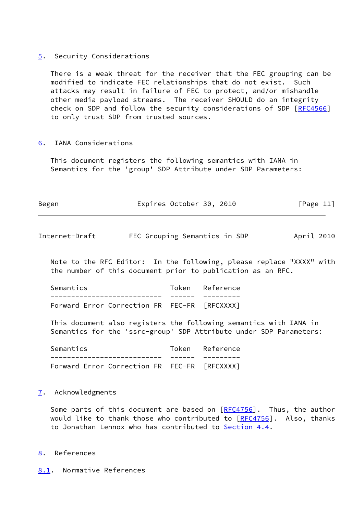#### <span id="page-12-0"></span>[5](#page-12-0). Security Considerations

 There is a weak threat for the receiver that the FEC grouping can be modified to indicate FEC relationships that do not exist. Such attacks may result in failure of FEC to protect, and/or mishandle other media payload streams. The receiver SHOULD do an integrity check on SDP and follow the security considerations of SDP [[RFC4566\]](https://datatracker.ietf.org/doc/pdf/rfc4566) to only trust SDP from trusted sources.

# <span id="page-12-1"></span>[6](#page-12-1). IANA Considerations

 This document registers the following semantics with IANA in Semantics for the 'group' SDP Attribute under SDP Parameters:

| Begen | Expires October 30, 2010 |  | [Page 11] |  |
|-------|--------------------------|--|-----------|--|
|       |                          |  |           |  |

<span id="page-12-3"></span>Internet-Draft FEC Grouping Semantics in SDP April 2010

 Note to the RFC Editor: In the following, please replace "XXXX" with the number of this document prior to publication as an RFC.

Semantics Token Reference --------------------------- ------ --------- Forward Error Correction FR FEC-FR [RFCXXXX]

 This document also registers the following semantics with IANA in Semantics for the 'ssrc-group' SDP Attribute under SDP Parameters:

 Semantics Token Reference --------------------------- ------ --------- Forward Error Correction FR FEC-FR [RFCXXXX]

### <span id="page-12-2"></span>[7](#page-12-2). Acknowledgments

Some parts of this document are based on [\[RFC4756](https://datatracker.ietf.org/doc/pdf/rfc4756)]. Thus, the author would like to thank those who contributed to  $[REC4756]$ . Also, thanks to Jonathan Lennox who has contributed to [Section 4.4](#page-8-0).

### <span id="page-12-4"></span>[8](#page-12-4). References

<span id="page-12-5"></span>[8.1](#page-12-5). Normative References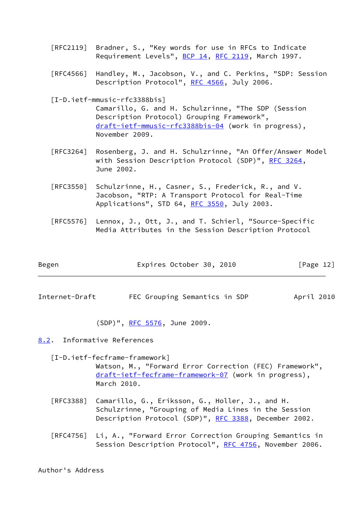- [RFC2119] Bradner, S., "Key words for use in RFCs to Indicate Requirement Levels", [BCP 14](https://datatracker.ietf.org/doc/pdf/bcp14), [RFC 2119](https://datatracker.ietf.org/doc/pdf/rfc2119), March 1997.
- [RFC4566] Handley, M., Jacobson, V., and C. Perkins, "SDP: Session Description Protocol", [RFC 4566](https://datatracker.ietf.org/doc/pdf/rfc4566), July 2006.

[I-D.ietf-mmusic-rfc3388bis]

 Camarillo, G. and H. Schulzrinne, "The SDP (Session Description Protocol) Grouping Framework", [draft-ietf-mmusic-rfc3388bis-04](https://datatracker.ietf.org/doc/pdf/draft-ietf-mmusic-rfc3388bis-04) (work in progress), November 2009.

- [RFC3264] Rosenberg, J. and H. Schulzrinne, "An Offer/Answer Model with Session Description Protocol (SDP)", [RFC 3264](https://datatracker.ietf.org/doc/pdf/rfc3264), June 2002.
- [RFC3550] Schulzrinne, H., Casner, S., Frederick, R., and V. Jacobson, "RTP: A Transport Protocol for Real-Time Applications", STD 64, [RFC 3550](https://datatracker.ietf.org/doc/pdf/rfc3550), July 2003.
- [RFC5576] Lennox, J., Ott, J., and T. Schierl, "Source-Specific Media Attributes in the Session Description Protocol

| Begen | Expires October 30, 2010 |  | [Page 12] |  |
|-------|--------------------------|--|-----------|--|
|       |                          |  |           |  |

<span id="page-13-1"></span>Internet-Draft FEC Grouping Semantics in SDP April 2010

(SDP)", [RFC 5576,](https://datatracker.ietf.org/doc/pdf/rfc5576) June 2009.

<span id="page-13-0"></span>[8.2](#page-13-0). Informative References

<span id="page-13-2"></span> [I-D.ietf-fecframe-framework] Watson, M., "Forward Error Correction (FEC) Framework", [draft-ietf-fecframe-framework-07](https://datatracker.ietf.org/doc/pdf/draft-ietf-fecframe-framework-07) (work in progress), March 2010.

- [RFC3388] Camarillo, G., Eriksson, G., Holler, J., and H. Schulzrinne, "Grouping of Media Lines in the Session Description Protocol (SDP)", [RFC 3388](https://datatracker.ietf.org/doc/pdf/rfc3388), December 2002.
- [RFC4756] Li, A., "Forward Error Correction Grouping Semantics in Session Description Protocol", [RFC 4756](https://datatracker.ietf.org/doc/pdf/rfc4756), November 2006.